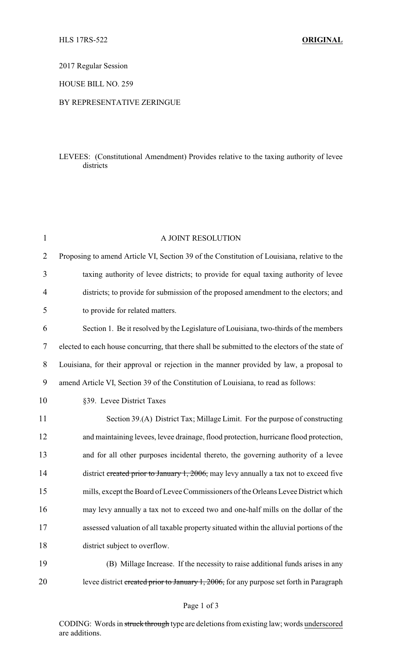2017 Regular Session

HOUSE BILL NO. 259

## BY REPRESENTATIVE ZERINGUE

## LEVEES: (Constitutional Amendment) Provides relative to the taxing authority of levee districts

| $\mathbf{1}$   | A JOINT RESOLUTION                                                                              |
|----------------|-------------------------------------------------------------------------------------------------|
| $\overline{2}$ | Proposing to amend Article VI, Section 39 of the Constitution of Louisiana, relative to the     |
| 3              | taxing authority of levee districts; to provide for equal taxing authority of levee             |
| 4              | districts; to provide for submission of the proposed amendment to the electors; and             |
| 5              | to provide for related matters.                                                                 |
| 6              | Section 1. Be it resolved by the Legislature of Louisiana, two-thirds of the members            |
| 7              | elected to each house concurring, that there shall be submitted to the electors of the state of |
| 8              | Louisiana, for their approval or rejection in the manner provided by law, a proposal to         |
| 9              | amend Article VI, Section 39 of the Constitution of Louisiana, to read as follows:              |
| 10             | §39. Levee District Taxes                                                                       |
| 11             | Section 39.(A) District Tax; Millage Limit. For the purpose of constructing                     |
| 12             | and maintaining levees, levee drainage, flood protection, hurricane flood protection,           |
| 13             | and for all other purposes incidental thereto, the governing authority of a levee               |
| 14             | district created prior to January 1, 2006, may levy annually a tax not to exceed five           |
| 15             | mills, except the Board of Levee Commissioners of the Orleans Levee District which              |
| 16             | may levy annually a tax not to exceed two and one-half mills on the dollar of the               |
| 17             | assessed valuation of all taxable property situated within the alluvial portions of the         |
| 18             | district subject to overflow.                                                                   |
| 19             | (B) Millage Increase. If the necessity to raise additional funds arises in any                  |
| 20             | levee district created prior to January 1, 2006, for any purpose set forth in Paragraph         |

CODING: Words in struck through type are deletions from existing law; words underscored are additions.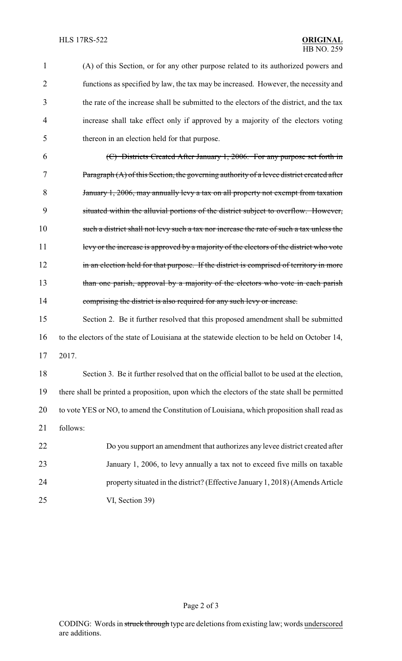1 (A) of this Section, or for any other purpose related to its authorized powers and 2 functions as specified by law, the tax may be increased. However, the necessity and 3 the rate of the increase shall be submitted to the electors of the district, and the tax 4 increase shall take effect only if approved by a majority of the electors voting 5 thereon in an election held for that purpose. 6 (C) Districts Created After January 1, 2006. For any purpose set forth in 7 Paragraph (A) of this Section, the governing authority of a levee district created after 8 January 1, 2006, may annually levy a tax on all property not exempt from taxation 9 situated within the alluvial portions of the district subject to overflow. However, 10 such a district shall not levy such a tax nor increase the rate of such a tax unless the 11 levy or the increase is approved by a majority of the electors of the district who vote 12 in an election held for that purpose. If the district is comprised of territory in more 13 than one parish, approval by a majority of the electors who vote in each parish 14 comprising the district is also required for any such levy or increase. 15 Section 2. Be it further resolved that this proposed amendment shall be submitted 16 to the electors of the state of Louisiana at the statewide election to be held on October 14, 17 2017. 18 Section 3. Be it further resolved that on the official ballot to be used at the election, 19 there shall be printed a proposition, upon which the electors of the state shall be permitted 20 to vote YES or NO, to amend the Constitution of Louisiana, which proposition shall read as 21 follows: 22 Do you support an amendment that authorizes any levee district created after

23 January 1, 2006, to levy annually a tax not to exceed five mills on taxable 24 property situated in the district? (Effective January 1, 2018) (Amends Article 25 VI, Section 39)

Page 2 of 3